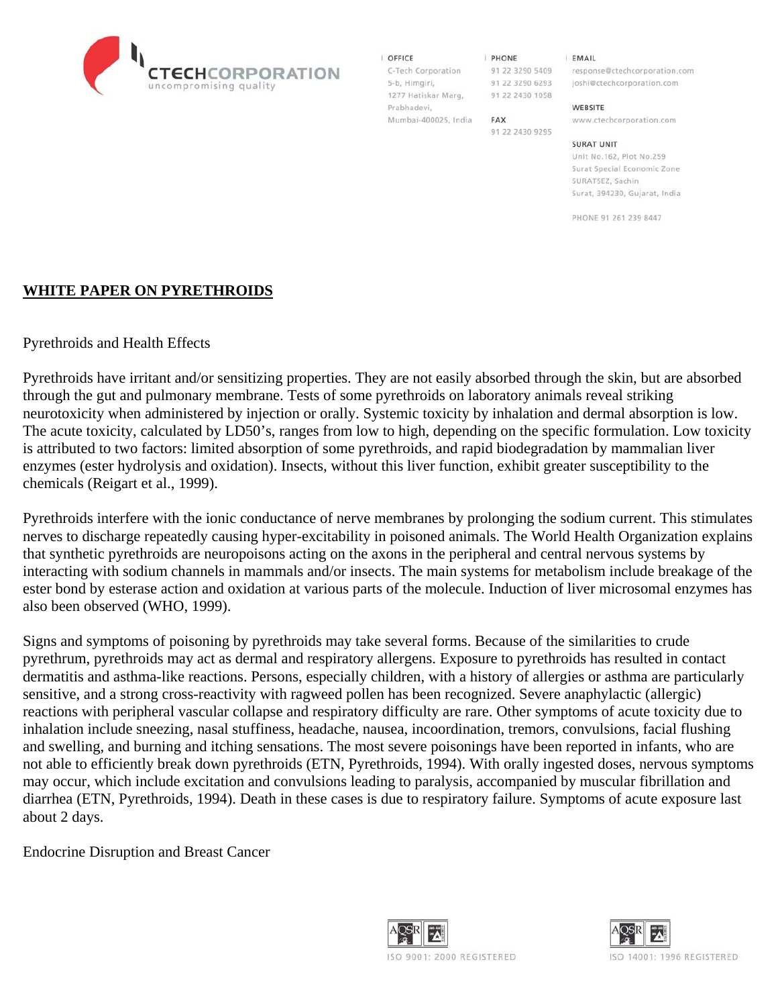

#### I OFFICE

5-b, Himgiri, 1277 Hatiskar Marg, Prabhadevi, Mumbai-400025, India

**I PHONE** 91 22 3290 6293 91 22 2430 1058

91 22 2430 9295

FAX

**EMAIL** 

C-Tech Corporation 91 22 3290 5409 response@ctechcorporation.com joshi@ctechcorporation.com

#### WEBSITE

www.ctechcorporation.com

#### **SURAT UNIT**

Unit No.162, Plot No.259 Surat Special Economic Zone SURATSEZ, Sachin Surat, 394230, Guiarat, India

PHONE 91 261 239 8447

### **WHITE PAPER ON PYRETHROIDS**

Pyrethroids and Health Effects

Pyrethroids have irritant and/or sensitizing properties. They are not easily absorbed through the skin, but are absorbed through the gut and pulmonary membrane. Tests of some pyrethroids on laboratory animals reveal striking neurotoxicity when administered by injection or orally. Systemic toxicity by inhalation and dermal absorption is low. The acute toxicity, calculated by LD50's, ranges from low to high, depending on the specific formulation. Low toxicity is attributed to two factors: limited absorption of some pyrethroids, and rapid biodegradation by mammalian liver enzymes (ester hydrolysis and oxidation). Insects, without this liver function, exhibit greater susceptibility to the chemicals (Reigart et al., 1999).

Pyrethroids interfere with the ionic conductance of nerve membranes by prolonging the sodium current. This stimulates nerves to discharge repeatedly causing hyper-excitability in poisoned animals. The World Health Organization explains that synthetic pyrethroids are neuropoisons acting on the axons in the peripheral and central nervous systems by interacting with sodium channels in mammals and/or insects. The main systems for metabolism include breakage of the ester bond by esterase action and oxidation at various parts of the molecule. Induction of liver microsomal enzymes has also been observed (WHO, 1999).

Signs and symptoms of poisoning by pyrethroids may take several forms. Because of the similarities to crude pyrethrum, pyrethroids may act as dermal and respiratory allergens. Exposure to pyrethroids has resulted in contact dermatitis and asthma-like reactions. Persons, especially children, with a history of allergies or asthma are particularly sensitive, and a strong cross-reactivity with ragweed pollen has been recognized. Severe anaphylactic (allergic) reactions with peripheral vascular collapse and respiratory difficulty are rare. Other symptoms of acute toxicity due to inhalation include sneezing, nasal stuffiness, headache, nausea, incoordination, tremors, convulsions, facial flushing and swelling, and burning and itching sensations. The most severe poisonings have been reported in infants, who are not able to efficiently break down pyrethroids (ETN, Pyrethroids, 1994). With orally ingested doses, nervous symptoms may occur, which include excitation and convulsions leading to paralysis, accompanied by muscular fibrillation and diarrhea (ETN, Pyrethroids, 1994). Death in these cases is due to respiratory failure. Symptoms of acute exposure last about 2 days.

Endocrine Disruption and Breast Cancer



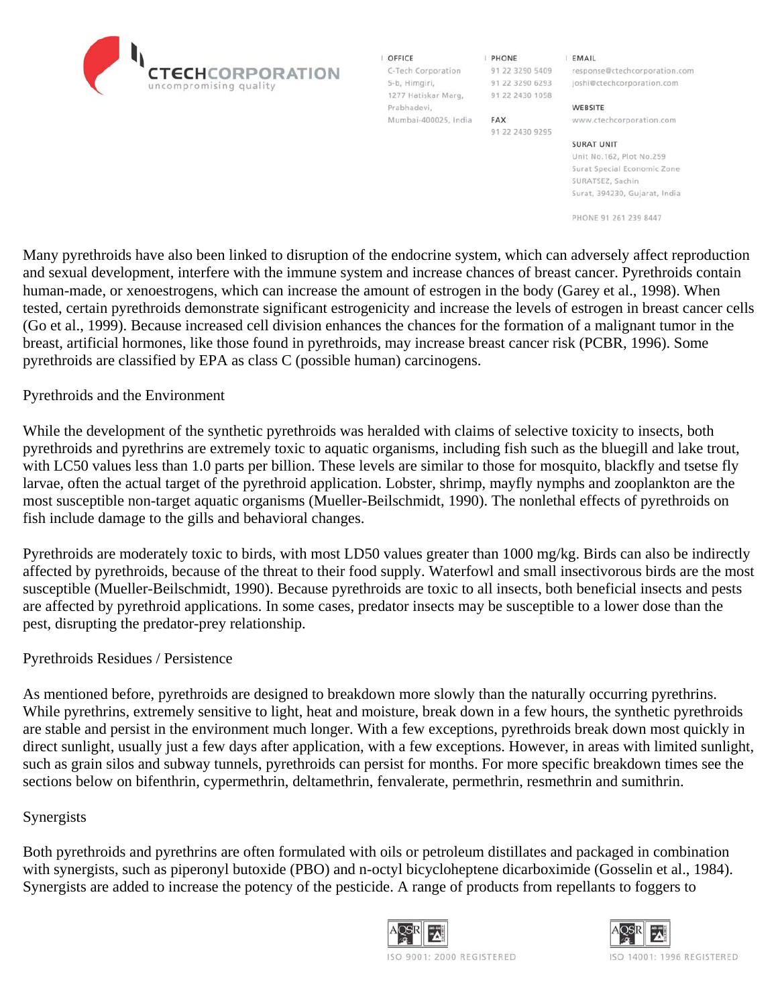I OFFICE 5-b, Himgiri, 1277 Hatiskar Marg, Prabhadevi,

Mumbai-400025, India

**I PHONE** 91 22 3290 6293 91 22 2430 1058

91 22 2430 9295

**FAX** 

**EMAIL** 

C-Tech Corporation 91 22 3290 5409 response@ctechcorporation.com joshi@ctechcorporation.com

#### WEBSITE

www.ctechcorporation.com

#### **SURAT UNIT**

Unit No.162, Plot No.259 Surat Special Economic Zone SURATSEZ, Sachin Surat, 394230, Gujarat, India

PHONE 91 261 239 8447

Many pyrethroids have also been linked to disruption of the endocrine system, which can adversely affect reproduction and sexual development, interfere with the immune system and increase chances of breast cancer. Pyrethroids contain human-made, or xenoestrogens, which can increase the amount of estrogen in the body (Garey et al., 1998). When tested, certain pyrethroids demonstrate significant estrogenicity and increase the levels of estrogen in breast cancer cells (Go et al., 1999). Because increased cell division enhances the chances for the formation of a malignant tumor in the breast, artificial hormones, like those found in pyrethroids, may increase breast cancer risk (PCBR, 1996). Some pyrethroids are classified by EPA as class C (possible human) carcinogens.

### Pyrethroids and the Environment

While the development of the synthetic pyrethroids was heralded with claims of selective toxicity to insects, both pyrethroids and pyrethrins are extremely toxic to aquatic organisms, including fish such as the bluegill and lake trout, with LC50 values less than 1.0 parts per billion. These levels are similar to those for mosquito, blackfly and tsetse fly larvae, often the actual target of the pyrethroid application. Lobster, shrimp, mayfly nymphs and zooplankton are the most susceptible non-target aquatic organisms (Mueller-Beilschmidt, 1990). The nonlethal effects of pyrethroids on fish include damage to the gills and behavioral changes.

Pyrethroids are moderately toxic to birds, with most LD50 values greater than 1000 mg/kg. Birds can also be indirectly affected by pyrethroids, because of the threat to their food supply. Waterfowl and small insectivorous birds are the most susceptible (Mueller-Beilschmidt, 1990). Because pyrethroids are toxic to all insects, both beneficial insects and pests are affected by pyrethroid applications. In some cases, predator insects may be susceptible to a lower dose than the pest, disrupting the predator-prey relationship.

### Pyrethroids Residues / Persistence

As mentioned before, pyrethroids are designed to breakdown more slowly than the naturally occurring pyrethrins. While pyrethrins, extremely sensitive to light, heat and moisture, break down in a few hours, the synthetic pyrethroids are stable and persist in the environment much longer. With a few exceptions, pyrethroids break down most quickly in direct sunlight, usually just a few days after application, with a few exceptions. However, in areas with limited sunlight, such as grain silos and subway tunnels, pyrethroids can persist for months. For more specific breakdown times see the sections below on bifenthrin, cypermethrin, deltamethrin, fenvalerate, permethrin, resmethrin and sumithrin.

### Synergists

Both pyrethroids and pyrethrins are often formulated with oils or petroleum distillates and packaged in combination with synergists, such as piperonyl butoxide (PBO) and n-octyl bicycloheptene dicarboximide (Gosselin et al., 1984). Synergists are added to increase the potency of the pesticide. A range of products from repellants to foggers to





ISO 9001: 2000 REGISTERED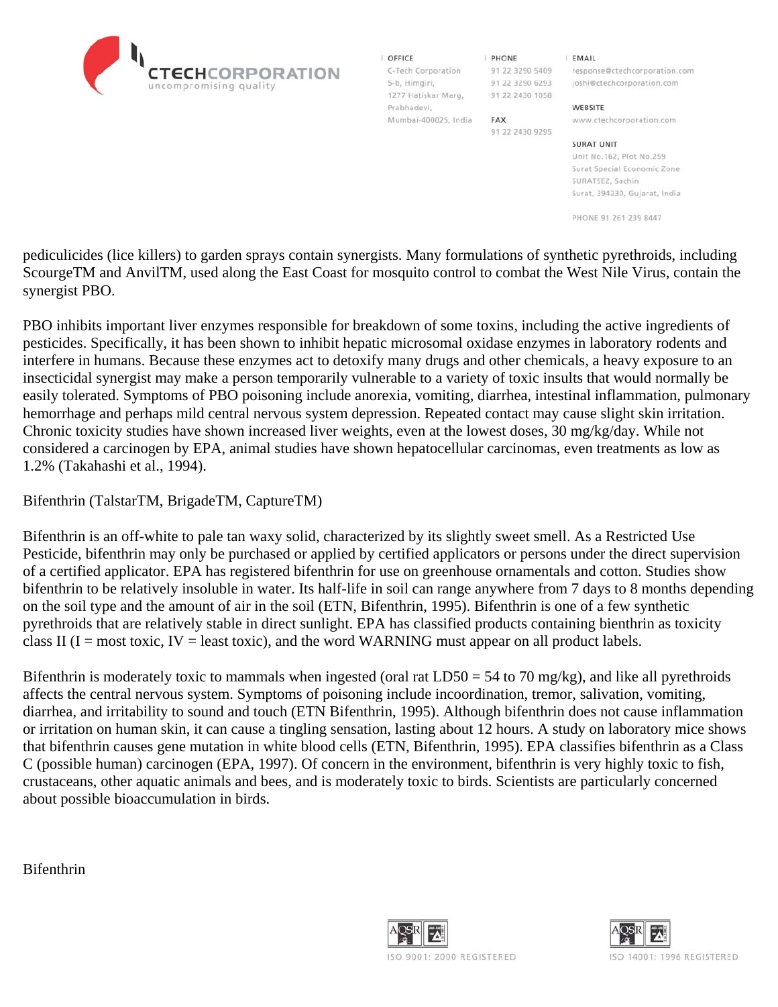I OFFICE 5-b, Himgiri, 1277 Hatiskar Marg, Prabhadevi, Mumbai-400025, India

**I PHONE** 91 22 3290 6293 91 22 2430 1058

91 22 2430 9295

FAX

**EMAIL** 

C-Tech Corporation 91 22 3290 5409 response@ctechcorporation.com joshi@ctechcorporation.com

#### WEBSITE

www.ctechcorporation.com

#### **SURAT UNIT**

Unit No.162, Plot No.259 Surat Special Economic Zone SURATSEZ, Sachin Surat, 394230, Gujarat, India

PHONE 91 261 239 8447

pediculicides (lice killers) to garden sprays contain synergists. Many formulations of synthetic pyrethroids, including ScourgeTM and AnvilTM, used along the East Coast for mosquito control to combat the West Nile Virus, contain the synergist PBO.

PBO inhibits important liver enzymes responsible for breakdown of some toxins, including the active ingredients of pesticides. Specifically, it has been shown to inhibit hepatic microsomal oxidase enzymes in laboratory rodents and interfere in humans. Because these enzymes act to detoxify many drugs and other chemicals, a heavy exposure to an insecticidal synergist may make a person temporarily vulnerable to a variety of toxic insults that would normally be easily tolerated. Symptoms of PBO poisoning include anorexia, vomiting, diarrhea, intestinal inflammation, pulmonary hemorrhage and perhaps mild central nervous system depression. Repeated contact may cause slight skin irritation. Chronic toxicity studies have shown increased liver weights, even at the lowest doses, 30 mg/kg/day. While not considered a carcinogen by EPA, animal studies have shown hepatocellular carcinomas, even treatments as low as 1.2% (Takahashi et al., 1994).

Bifenthrin (TalstarTM, BrigadeTM, CaptureTM)

Bifenthrin is an off-white to pale tan waxy solid, characterized by its slightly sweet smell. As a Restricted Use Pesticide, bifenthrin may only be purchased or applied by certified applicators or persons under the direct supervision of a certified applicator. EPA has registered bifenthrin for use on greenhouse ornamentals and cotton. Studies show bifenthrin to be relatively insoluble in water. Its half-life in soil can range anywhere from 7 days to 8 months depending on the soil type and the amount of air in the soil (ETN, Bifenthrin, 1995). Bifenthrin is one of a few synthetic pyrethroids that are relatively stable in direct sunlight. EPA has classified products containing bienthrin as toxicity class II ( $I = most toxic, IV = least toxic, and the word WARNING must appear on all product labels.$ 

Bifenthrin is moderately toxic to mammals when ingested (oral rat  $LD50 = 54$  to 70 mg/kg), and like all pyrethroids affects the central nervous system. Symptoms of poisoning include incoordination, tremor, salivation, vomiting, diarrhea, and irritability to sound and touch (ETN Bifenthrin, 1995). Although bifenthrin does not cause inflammation or irritation on human skin, it can cause a tingling sensation, lasting about 12 hours. A study on laboratory mice shows that bifenthrin causes gene mutation in white blood cells (ETN, Bifenthrin, 1995). EPA classifies bifenthrin as a Class C (possible human) carcinogen (EPA, 1997). Of concern in the environment, bifenthrin is very highly toxic to fish, crustaceans, other aquatic animals and bees, and is moderately toxic to birds. Scientists are particularly concerned about possible bioaccumulation in birds.

Bifenthrin



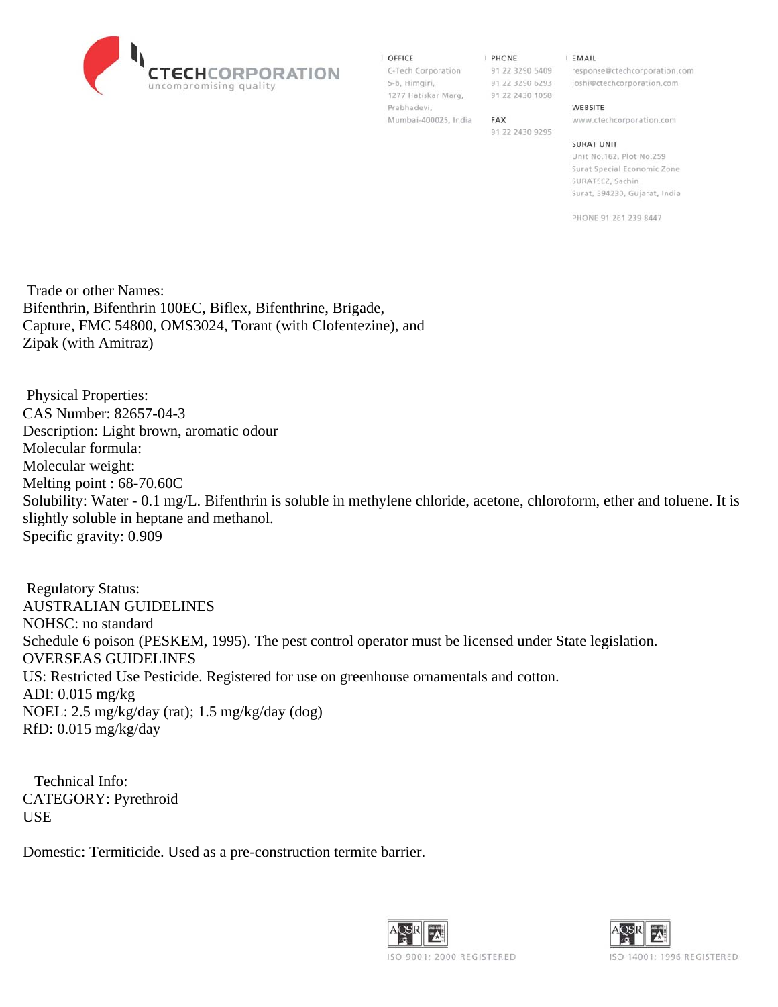

#### **OFFICE**

5-b, Himgiri, 1277 Hatiskar Marg, 91 22 2430 1058 Prabhadevi, Mumbai-400025, India FAX

**I PHONE** 

91 22 2430 9295

**EMAIL** 

C-Tech Corporation 91 22 3290 5409 response@ctechcorporation.com 91 22 3290 6293 joshi@ctechcorporation.com

#### WEBSITE

www.ctechcorporation.com

#### **SURAT UNIT**

Unit No.162, Plot No.259 Surat Special Economic Zone SURATSEZ, Sachin Surat, 394230, Gujarat, India

PHONE 91 261 239 8447

 Trade or other Names: Bifenthrin, Bifenthrin 100EC, Biflex, Bifenthrine, Brigade, Capture, FMC 54800, OMS3024, Torant (with Clofentezine), and Zipak (with Amitraz)

 Physical Properties: CAS Number: 82657-04-3 Description: Light brown, aromatic odour Molecular formula: Molecular weight: Melting point : 68-70.60C Solubility: Water - 0.1 mg/L. Bifenthrin is soluble in methylene chloride, acetone, chloroform, ether and toluene. It is slightly soluble in heptane and methanol. Specific gravity: 0.909

 Regulatory Status: AUSTRALIAN GUIDELINES NOHSC: no standard Schedule 6 poison (PESKEM, 1995). The pest control operator must be licensed under State legislation. OVERSEAS GUIDELINES US: Restricted Use Pesticide. Registered for use on greenhouse ornamentals and cotton. ADI: 0.015 mg/kg NOEL: 2.5 mg/kg/day (rat); 1.5 mg/kg/day (dog) RfD: 0.015 mg/kg/day

 Technical Info: CATEGORY: Pyrethroid USE

Domestic: Termiticide. Used as a pre-construction termite barrier.



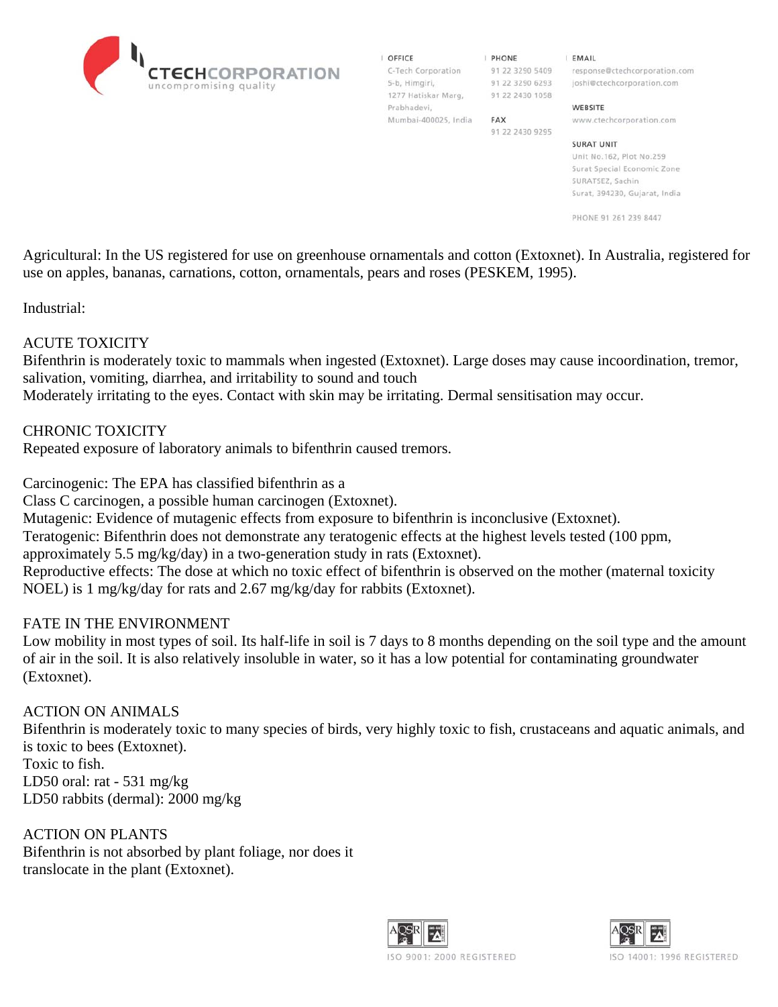

| OFFICE               |
|----------------------|
| C-Tech Corporation   |
| 5-b, Himgiri,        |
| 1277 Hatiskar Marg,  |
| Prabhadevi,          |
| Mumbai-400025, India |

| PHONE |  |  |                 |  |  |
|-------|--|--|-----------------|--|--|
|       |  |  | 91 22 3290 5409 |  |  |
|       |  |  | 91 22 3290 6293 |  |  |
|       |  |  | 91 22 2430 1058 |  |  |

91 22 2430 9295

FAX

**EMAIL** 

response@ctechcorporation.com joshi@ctechcorporation.com

#### WEBSITE

www.ctechcorporation.com

#### **SURAT UNIT**

Unit No.162, Plot No.259 Surat Special Economic Zone SURATSEZ, Sachin Surat, 394230, Gujarat, India

PHONE 91 261 239 8447

Agricultural: In the US registered for use on greenhouse ornamentals and cotton (Extoxnet). In Australia, registered for use on apples, bananas, carnations, cotton, ornamentals, pears and roses (PESKEM, 1995).

Industrial:

### ACUTE TOXICITY

Bifenthrin is moderately toxic to mammals when ingested (Extoxnet). Large doses may cause incoordination, tremor, salivation, vomiting, diarrhea, and irritability to sound and touch

Moderately irritating to the eyes. Contact with skin may be irritating. Dermal sensitisation may occur.

CHRONIC TOXICITY

Repeated exposure of laboratory animals to bifenthrin caused tremors.

Carcinogenic: The EPA has classified bifenthrin as a

Class C carcinogen, a possible human carcinogen (Extoxnet).

Mutagenic: Evidence of mutagenic effects from exposure to bifenthrin is inconclusive (Extoxnet).

Teratogenic: Bifenthrin does not demonstrate any teratogenic effects at the highest levels tested (100 ppm,

approximately 5.5 mg/kg/day) in a two-generation study in rats (Extoxnet).

Reproductive effects: The dose at which no toxic effect of bifenthrin is observed on the mother (maternal toxicity NOEL) is 1 mg/kg/day for rats and 2.67 mg/kg/day for rabbits (Extoxnet).

### FATE IN THE ENVIRONMENT

Low mobility in most types of soil. Its half-life in soil is 7 days to 8 months depending on the soil type and the amount of air in the soil. It is also relatively insoluble in water, so it has a low potential for contaminating groundwater (Extoxnet).

### ACTION ON ANIMALS

Bifenthrin is moderately toxic to many species of birds, very highly toxic to fish, crustaceans and aquatic animals, and is toxic to bees (Extoxnet). Toxic to fish.

LD50 oral: rat - 531 mg/kg LD50 rabbits (dermal): 2000 mg/kg

ACTION ON PLANTS Bifenthrin is not absorbed by plant foliage, nor does it translocate in the plant (Extoxnet).



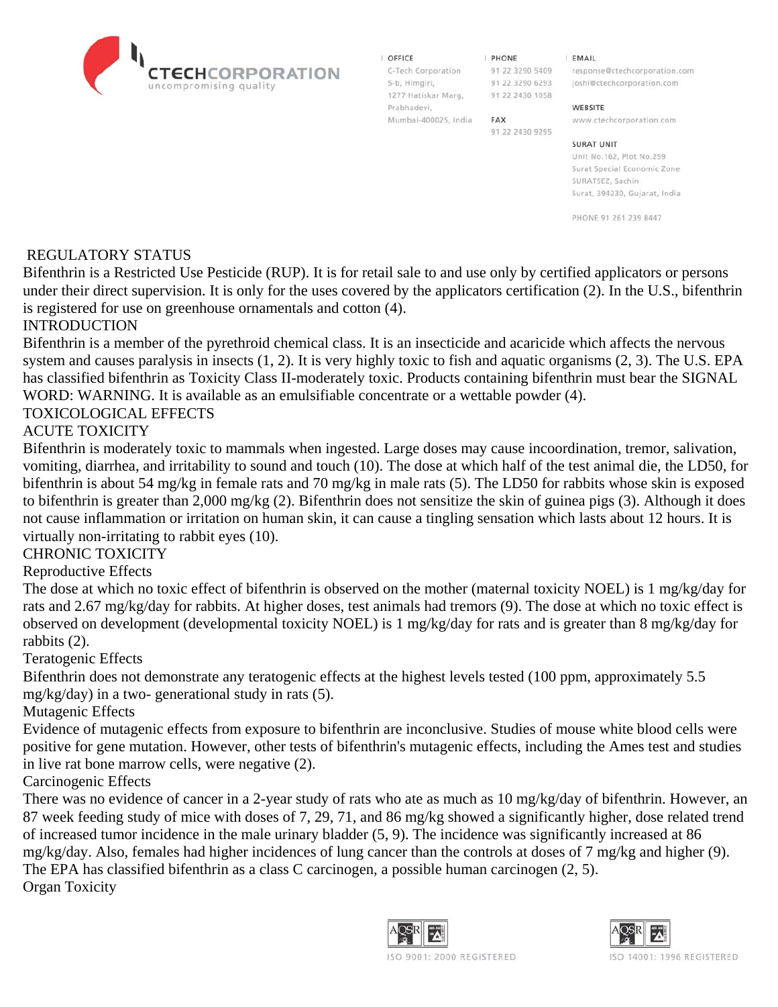| OFFICE              |
|---------------------|
| C-Tech Corporation  |
| 5-b, Himgiri,       |
| 1277 Hatiskar Marg. |

Prabhadevi,

Mumbai-400025, India

**I PHONE** 91 22 3290 6293 91 22 2430 1058

91 22 2430 9295

**FAX** 

**EMAIL** 

91 22 3290 5409 response@ctechcorporation.com joshi@ctechcorporation.com

#### WEBSITE

www.ctechcorporation.com

#### **SURAT UNIT**

Unit No.162, Plot No.259 Surat Special Economic Zone SURATSEZ, Sachin Surat, 394230, Gujarat, India

PHONE 91 261 239 8447

### REGULATORY STATUS

Bifenthrin is a Restricted Use Pesticide (RUP). It is for retail sale to and use only by certified applicators or persons under their direct supervision. It is only for the uses covered by the applicators certification (2). In the U.S., bifenthrin is registered for use on greenhouse ornamentals and cotton (4).

# INTRODUCTION

Bifenthrin is a member of the pyrethroid chemical class. It is an insecticide and acaricide which affects the nervous system and causes paralysis in insects (1, 2). It is very highly toxic to fish and aquatic organisms (2, 3). The U.S. EPA has classified bifenthrin as Toxicity Class II-moderately toxic. Products containing bifenthrin must bear the SIGNAL WORD: WARNING. It is available as an emulsifiable concentrate or a wettable powder (4).

# TOXICOLOGICAL EFFECTS

# ACUTE TOXICITY

Bifenthrin is moderately toxic to mammals when ingested. Large doses may cause incoordination, tremor, salivation, vomiting, diarrhea, and irritability to sound and touch (10). The dose at which half of the test animal die, the LD50, for bifenthrin is about 54 mg/kg in female rats and 70 mg/kg in male rats (5). The LD50 for rabbits whose skin is exposed to bifenthrin is greater than 2,000 mg/kg (2). Bifenthrin does not sensitize the skin of guinea pigs (3). Although it does not cause inflammation or irritation on human skin, it can cause a tingling sensation which lasts about 12 hours. It is virtually non-irritating to rabbit eyes (10).

### CHRONIC TOXICITY

### Reproductive Effects

The dose at which no toxic effect of bifenthrin is observed on the mother (maternal toxicity NOEL) is 1 mg/kg/day for rats and 2.67 mg/kg/day for rabbits. At higher doses, test animals had tremors (9). The dose at which no toxic effect is observed on development (developmental toxicity NOEL) is 1 mg/kg/day for rats and is greater than 8 mg/kg/day for rabbits (2).

### Teratogenic Effects

Bifenthrin does not demonstrate any teratogenic effects at the highest levels tested (100 ppm, approximately 5.5 mg/kg/day) in a two- generational study in rats (5).

Mutagenic Effects

Evidence of mutagenic effects from exposure to bifenthrin are inconclusive. Studies of mouse white blood cells were positive for gene mutation. However, other tests of bifenthrin's mutagenic effects, including the Ames test and studies in live rat bone marrow cells, were negative (2).

Carcinogenic Effects

There was no evidence of cancer in a 2-year study of rats who ate as much as 10 mg/kg/day of bifenthrin. However, an 87 week feeding study of mice with doses of 7, 29, 71, and 86 mg/kg showed a significantly higher, dose related trend of increased tumor incidence in the male urinary bladder (5, 9). The incidence was significantly increased at 86 mg/kg/day. Also, females had higher incidences of lung cancer than the controls at doses of 7 mg/kg and higher (9). The EPA has classified bifenthrin as a class C carcinogen, a possible human carcinogen (2, 5). Organ Toxicity



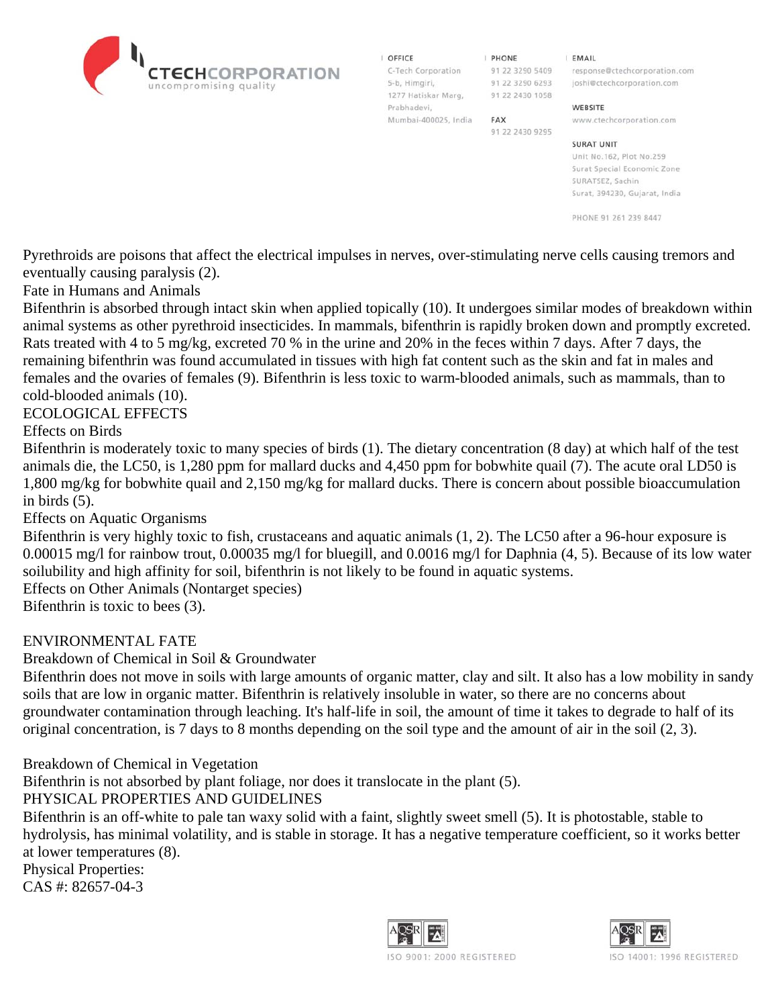I OFFICE 5-b, Himgiri, 1277 Hatiskar Marg, 91 22 2430 1058 Prabhadevi, Mumbai-400025, India

**I PHONE** 91 22 3290 6293

91 22 2430 9295

**FAX** 

**EMAIL** 

C-Tech Corporation 91 22 3290 5409 response@ctechcorporation.com joshi@ctechcorporation.com

#### WEBSITE

www.ctechcorporation.com

#### **SURAT UNIT**

Unit No.162, Plot No.259 Surat Special Economic Zone SURATSEZ, Sachin Surat, 394230, Gujarat, India

PHONE 91 261 239 8447

Pyrethroids are poisons that affect the electrical impulses in nerves, over-stimulating nerve cells causing tremors and eventually causing paralysis (2).

Fate in Humans and Animals

Bifenthrin is absorbed through intact skin when applied topically (10). It undergoes similar modes of breakdown within animal systems as other pyrethroid insecticides. In mammals, bifenthrin is rapidly broken down and promptly excreted. Rats treated with 4 to 5 mg/kg, excreted 70 % in the urine and 20% in the feces within 7 days. After 7 days, the remaining bifenthrin was found accumulated in tissues with high fat content such as the skin and fat in males and females and the ovaries of females (9). Bifenthrin is less toxic to warm-blooded animals, such as mammals, than to cold-blooded animals (10).

### ECOLOGICAL EFFECTS

Effects on Birds

Bifenthrin is moderately toxic to many species of birds (1). The dietary concentration (8 day) at which half of the test animals die, the LC50, is 1,280 ppm for mallard ducks and 4,450 ppm for bobwhite quail (7). The acute oral LD50 is 1,800 mg/kg for bobwhite quail and 2,150 mg/kg for mallard ducks. There is concern about possible bioaccumulation in birds (5).

Effects on Aquatic Organisms

Bifenthrin is very highly toxic to fish, crustaceans and aquatic animals (1, 2). The LC50 after a 96-hour exposure is 0.00015 mg/l for rainbow trout, 0.00035 mg/l for bluegill, and 0.0016 mg/l for Daphnia (4, 5). Because of its low water soilubility and high affinity for soil, bifenthrin is not likely to be found in aquatic systems.

Effects on Other Animals (Nontarget species)

Bifenthrin is toxic to bees (3).

### ENVIRONMENTAL FATE

Breakdown of Chemical in Soil & Groundwater

Bifenthrin does not move in soils with large amounts of organic matter, clay and silt. It also has a low mobility in sandy soils that are low in organic matter. Bifenthrin is relatively insoluble in water, so there are no concerns about groundwater contamination through leaching. It's half-life in soil, the amount of time it takes to degrade to half of its original concentration, is 7 days to 8 months depending on the soil type and the amount of air in the soil (2, 3).

Breakdown of Chemical in Vegetation

Bifenthrin is not absorbed by plant foliage, nor does it translocate in the plant (5).

PHYSICAL PROPERTIES AND GUIDELINES

Bifenthrin is an off-white to pale tan waxy solid with a faint, slightly sweet smell (5). It is photostable, stable to hydrolysis, has minimal volatility, and is stable in storage. It has a negative temperature coefficient, so it works better at lower temperatures (8).

Physical Properties: CAS #: 82657-04-3



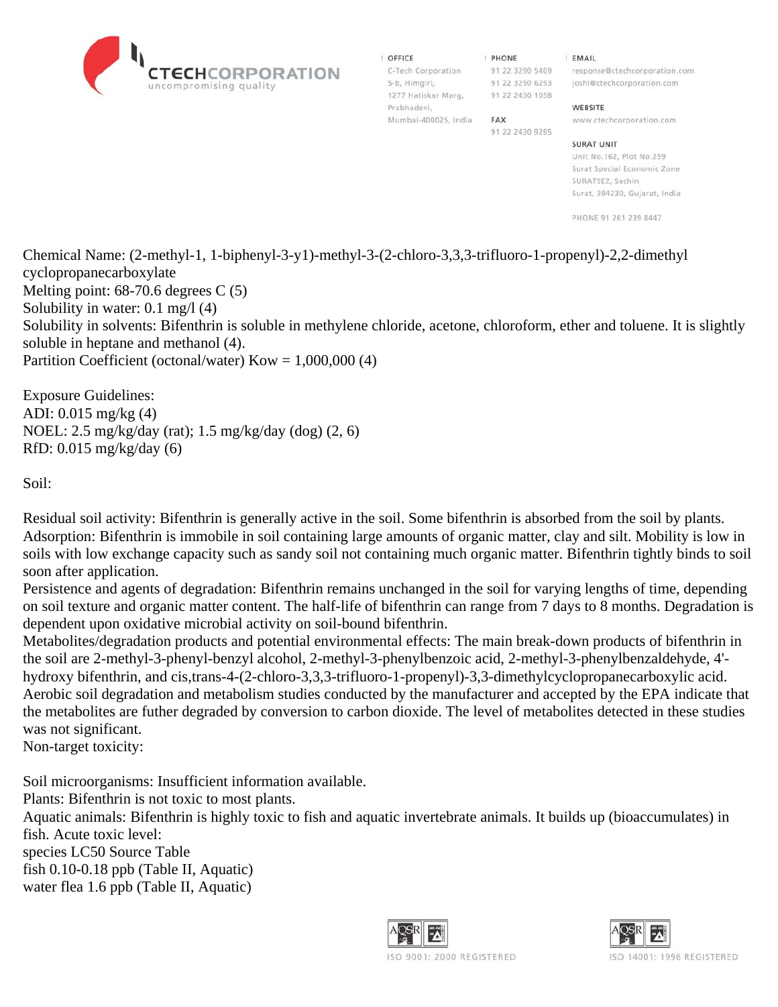

| OFFICE               |  |
|----------------------|--|
| C-Tech Corporation   |  |
| 5-b, Himgiri,        |  |
| 1277 Hatiskar Marg,  |  |
| Prabhadevi,          |  |
| Mumbai-400025, India |  |

```
I PHONE
91 22 3290 6293
91 22 2430 1058
```
FAX 91 22 2430 9295 **EMAIL** 

91 22 3290 5409 response@ctechcorporation.com joshi@ctechcorporation.com

#### WEBSITE

www.ctechcorporation.com

#### **SURAT UNIT**

Unit No.162, Plot No.259 Surat Special Economic Zone SURATSEZ, Sachin Surat, 394230, Gujarat, India

PHONE 91 261 239 8447

Chemical Name: (2-methyl-1, 1-biphenyl-3-y1)-methyl-3-(2-chloro-3,3,3-trifluoro-1-propenyl)-2,2-dimethyl cyclopropanecarboxylate Melting point: 68-70.6 degrees C (5) Solubility in water: 0.1 mg/l (4) Solubility in solvents: Bifenthrin is soluble in methylene chloride, acetone, chloroform, ether and toluene. It is slightly soluble in heptane and methanol (4). Partition Coefficient (octonal/water)  $Kow = 1,000,000$  (4)

Exposure Guidelines: ADI: 0.015 mg/kg (4) NOEL: 2.5 mg/kg/day (rat); 1.5 mg/kg/day (dog) (2, 6) RfD: 0.015 mg/kg/day (6)

Soil:

Residual soil activity: Bifenthrin is generally active in the soil. Some bifenthrin is absorbed from the soil by plants. Adsorption: Bifenthrin is immobile in soil containing large amounts of organic matter, clay and silt. Mobility is low in soils with low exchange capacity such as sandy soil not containing much organic matter. Bifenthrin tightly binds to soil soon after application.

Persistence and agents of degradation: Bifenthrin remains unchanged in the soil for varying lengths of time, depending on soil texture and organic matter content. The half-life of bifenthrin can range from 7 days to 8 months. Degradation is dependent upon oxidative microbial activity on soil-bound bifenthrin.

Metabolites/degradation products and potential environmental effects: The main break-down products of bifenthrin in the soil are 2-methyl-3-phenyl-benzyl alcohol, 2-methyl-3-phenylbenzoic acid, 2-methyl-3-phenylbenzaldehyde, 4' hydroxy bifenthrin, and cis,trans-4-(2-chloro-3,3,3-trifluoro-1-propenyl)-3,3-dimethylcyclopropanecarboxylic acid. Aerobic soil degradation and metabolism studies conducted by the manufacturer and accepted by the EPA indicate that the metabolites are futher degraded by conversion to carbon dioxide. The level of metabolites detected in these studies was not significant.

Non-target toxicity:

Soil microorganisms: Insufficient information available.

Plants: Bifenthrin is not toxic to most plants.

Aquatic animals: Bifenthrin is highly toxic to fish and aquatic invertebrate animals. It builds up (bioaccumulates) in fish. Acute toxic level:

species LC50 Source Table fish 0.10-0.18 ppb (Table II, Aquatic) water flea 1.6 ppb (Table II, Aquatic)



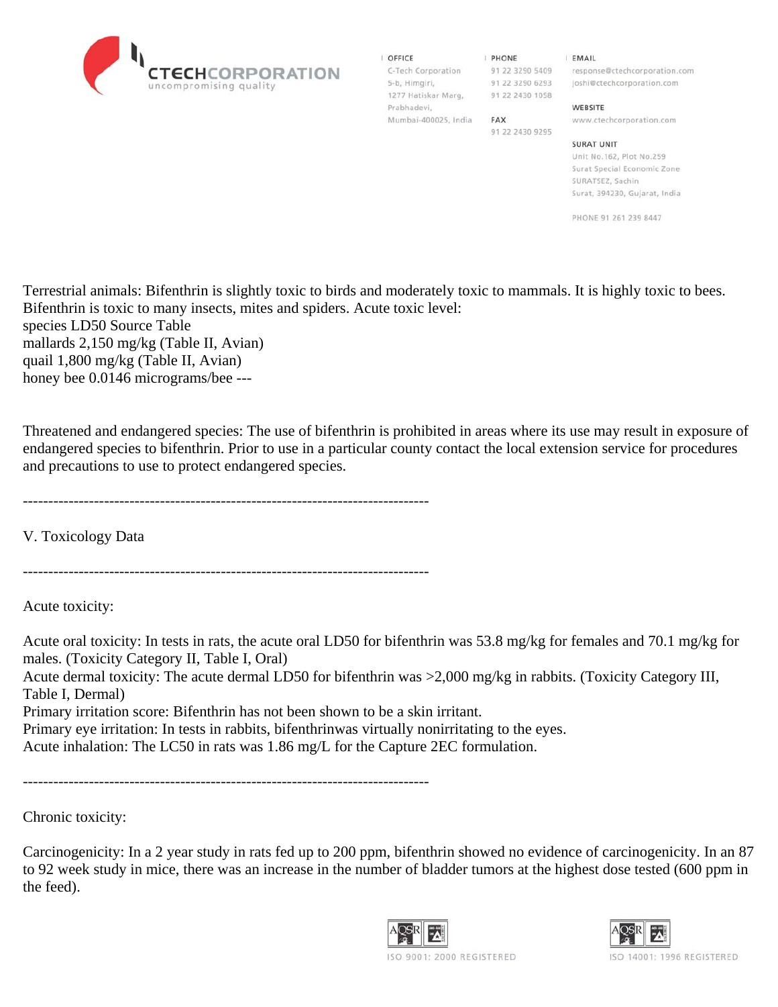

| <b>OFFICE</b>      |  |  |  |
|--------------------|--|--|--|
| C-Tech Corporation |  |  |  |
| 5-b, Himgiri,      |  |  |  |
| 1277 Hatiskar Mary |  |  |  |

Mumbai-400025, India FAX

Prabhadevi,

**I PHONE** 1277 Hatiskar Marg, 91 22 2430 1058

91 22 2430 9295

**EMAIL** 

91 22 3290 5409 response@ctechcorporation.com 91 22 3290 6293 joshi@ctechcorporation.com

#### WEBSITE

www.ctechcorporation.com

#### **SURAT UNIT**

Unit No.162, Plot No.259 Surat Special Economic Zone SURATSEZ, Sachin Surat, 394230, Gujarat, India

PHONE 91 261 239 8447

Terrestrial animals: Bifenthrin is slightly toxic to birds and moderately toxic to mammals. It is highly toxic to bees. Bifenthrin is toxic to many insects, mites and spiders. Acute toxic level: species LD50 Source Table mallards 2,150 mg/kg (Table II, Avian) quail 1,800 mg/kg (Table II, Avian) honey bee 0.0146 micrograms/bee ---

Threatened and endangered species: The use of bifenthrin is prohibited in areas where its use may result in exposure of endangered species to bifenthrin. Prior to use in a particular county contact the local extension service for procedures and precautions to use to protect endangered species.

--------------------------------------------------------------------------------

V. Toxicology Data

--------------------------------------------------------------------------------

Acute toxicity:

Acute oral toxicity: In tests in rats, the acute oral LD50 for bifenthrin was 53.8 mg/kg for females and 70.1 mg/kg for males. (Toxicity Category II, Table I, Oral)

Acute dermal toxicity: The acute dermal LD50 for bifenthrin was >2,000 mg/kg in rabbits. (Toxicity Category III, Table I, Dermal)

Primary irritation score: Bifenthrin has not been shown to be a skin irritant.

Primary eye irritation: In tests in rabbits, bifenthrinwas virtually nonirritating to the eyes.

Acute inhalation: The LC50 in rats was 1.86 mg/L for the Capture 2EC formulation.

--------------------------------------------------------------------------------

Chronic toxicity:

Carcinogenicity: In a 2 year study in rats fed up to 200 ppm, bifenthrin showed no evidence of carcinogenicity. In an 87 to 92 week study in mice, there was an increase in the number of bladder tumors at the highest dose tested (600 ppm in the feed).